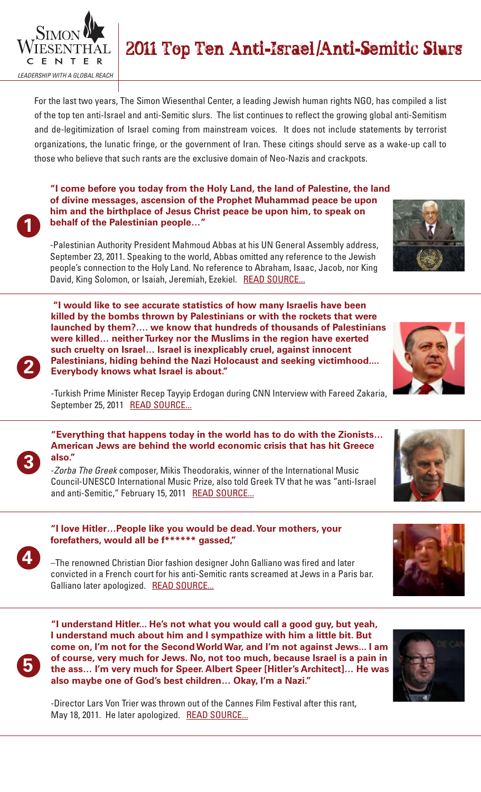

# 2011 Top Ten Anti-Israel/Anti-Semitic Slurs

For the last two years, The Simon Wiesenthal Center, a leading Jewish human rights NGO, has compiled a list of the top ten anti-Israel and anti-Semitic slurs. The list continues to reflect the growing global anti-Semitism and de-legitimization of Israel coming from mainstream voices. It does not include statements by terrorist organizations, the lunatic fringe, or the government of Iran. These citings should serve as a wake-up call to those who believe that such rants are the exclusive domain of Neo-Nazis and crackpots.

**1**

**2**

**"I come before you today from the Holy Land, the land of Palestine, the land of divine messages, ascension of the Prophet Muhammad peace be upon him and the birthplace of Jesus Christ peace be upon him, to speak on behalf of the Palestinian people…"**

-Palestinian Authority President Mahmoud Abbas at his UN General Assembly address, September 23, 2011. Speaking to the world, Abbas omitted any reference to the Jewish people's connection to the Holy Land. No reference to Abraham, Isaac, Jacob, nor King David, King Solomon, or Isaiah, Jeremiah, Ezekiel. READ SOURCE...

 **"I would like to see accurate statistics of how many Israelis have been killed by the bombs thrown by Palestinians or with the rockets that were launched by them?…. we know that hundreds of thousands of Palestinians were killed… neither Turkey nor the Muslims in the region have exerted such cruelty on Israel… Israel is inexplicably cruel, against innocent Palestinians, hiding behind the Nazi Holocaust and seeking victimhood.... Everybody knows what Israel is about."**



-Turkish Prime Minister Recep Tayyip Erdogan during CNN Interview with Fareed Zakaria, September 25, 2011 READ SOURCE...

### **"Everything that happens today in the world has to do with the Zionists… American Jews are behind the world economic crisis that has hit Greece also."**

-*Zorba The Greek* composer, Mikis Theodorakis, winner of the International Music Council-UNESCO International Music Prize, also told Greek TV that he was "anti-Israel and anti-Semitic," February 15, 2011 READ SOURCE...



**3**

### **"I love Hitler…People like you would be dead. Your mothers, your forefathers, would all be f\*\*\*\*\*\* gassed,"**

–The renowned Christian Dior fashion designer John Galliano was fired and later convicted in a French court for his anti-Semitic rants screamed at Jews in a Paris bar. Galliano later apologized. READ SOURCE...



**"I understand Hitler... He's not what you would call a good guy, but yeah, I understand much about him and I sympathize with him a little bit. But come on, I'm not for the Second World War, and I'm not against Jews... I am of course, very much for Jews. No, not too much, because Israel is a pain in the ass… I'm very much for Speer. Albert Speer [Hitler's Architect]… He was also maybe one of God's best children… Okay, I'm a Nazi."**

-Director Lars Von Trier was thrown out of the Cannes Film Festival after this rant, May 18, 2011. He later apologized. READ SOURCE...